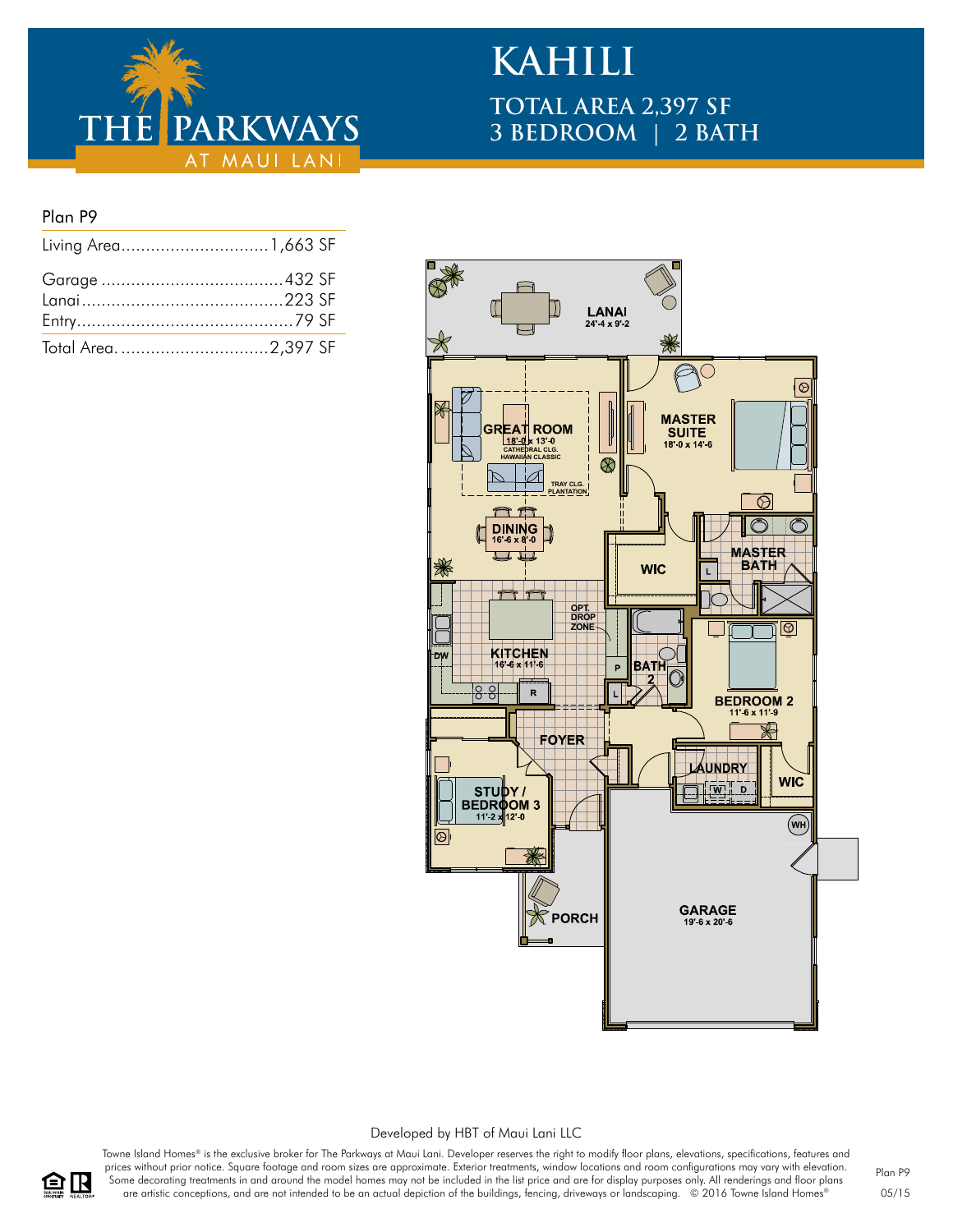

# **KAHILI TOTAL AREA 2,397 SF 3 BEDROOM | 2 BATH**

### Plan P9

| Total Area2,397 SF |  |
|--------------------|--|



#### Developed by HBT of Maui Lani LLC

Towne Island Homes® is the exclusive broker for The Parkways at Maui Lani. Developer reserves the right to modify floor plans, elevations, specifications, features and prices without prior notice. Square footage and room sizes are approximate. Exterior treatments, window locations and room configurations may vary with elevation. Some decorating treatments in and around the model homes may not be included in the list price and are for display purposes only. All renderings and floor plans are artistic conceptions, and are not intended to be an actual depiction of the buildings, fencing, driveways or landscaping. © 2016 Towne Island Homes®